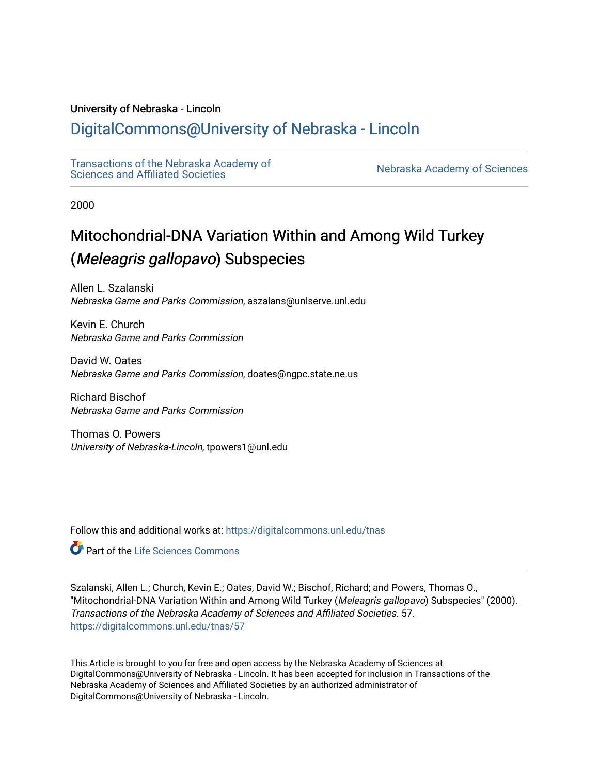# University of Nebraska - Lincoln

# [DigitalCommons@University of Nebraska - Lincoln](https://digitalcommons.unl.edu/)

[Transactions of the Nebraska Academy of](https://digitalcommons.unl.edu/tnas)  Transactions of the Nebraska Academy of Sciences<br>Sciences and Affiliated Societies

2000

# Mitochondrial-DNA Variation Within and Among Wild Turkey (Meleagris gallopavo) Subspecies

Allen L. Szalanski Nebraska Game and Parks Commission, aszalans@unlserve.unl.edu

Kevin E. Church Nebraska Game and Parks Commission

David W. Oates Nebraska Game and Parks Commission, doates@ngpc.state.ne.us

Richard Bischof Nebraska Game and Parks Commission

Thomas O. Powers University of Nebraska-Lincoln, tpowers1@unl.edu

Follow this and additional works at: [https://digitalcommons.unl.edu/tnas](https://digitalcommons.unl.edu/tnas?utm_source=digitalcommons.unl.edu%2Ftnas%2F57&utm_medium=PDF&utm_campaign=PDFCoverPages) 

Part of the [Life Sciences Commons](http://network.bepress.com/hgg/discipline/1016?utm_source=digitalcommons.unl.edu%2Ftnas%2F57&utm_medium=PDF&utm_campaign=PDFCoverPages) 

Szalanski, Allen L.; Church, Kevin E.; Oates, David W.; Bischof, Richard; and Powers, Thomas O., "Mitochondrial-DNA Variation Within and Among Wild Turkey (Meleagris gallopavo) Subspecies" (2000). Transactions of the Nebraska Academy of Sciences and Affiliated Societies. 57. [https://digitalcommons.unl.edu/tnas/57](https://digitalcommons.unl.edu/tnas/57?utm_source=digitalcommons.unl.edu%2Ftnas%2F57&utm_medium=PDF&utm_campaign=PDFCoverPages)

This Article is brought to you for free and open access by the Nebraska Academy of Sciences at DigitalCommons@University of Nebraska - Lincoln. It has been accepted for inclusion in Transactions of the Nebraska Academy of Sciences and Affiliated Societies by an authorized administrator of DigitalCommons@University of Nebraska - Lincoln.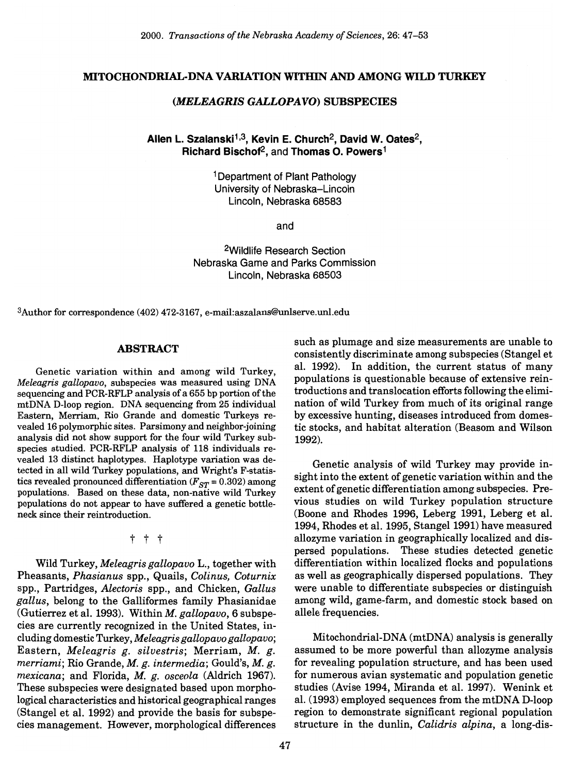#### MITOCHONDRIAL-DNA VARIATION WITHIN AND AMONG WILD TURKEY

# *(MELEAGRIS GALLOPAVO)* SUBSPECIES

# Allen L. Szalanski<sup>1,3</sup>, Kevin E. Church<sup>2</sup>, David W. Oates<sup>2</sup>, Richard Bischof2, and Thomas O. Powers1

1 Department of Plant Pathology University of Nebraska-Lincoln Lincoln, Nebraska 68583

and

2Wildlife Research Section Nebraska Game and Parks Commission Lincoln, Nebraska 68503

3Author for correspondence (402) 472-3167, e-mail:aszalans@unlserve.unl.edu

## ABSTRACT

Genetic variation within and among wild Turkey, *Meleagris gallopavo,* subspecies was measured using DNA sequencing and PCR-RFLP analysis of a 655 bp portion of the mtDNA D-Ioop region. DNA sequencing from 25 individual Eastern, Merriam, Rio Grande and domestic Turkeys revealed 16 polymorphic sites. Parsimony and neighbor-joining analysis did not show support for the four wild Turkey subspecies studied. PCR-RFLP analysis of 118 individuals revealed 13 distinct haplotypes. Haplotype variation was detected in all wild Turkey populations, and Wright's F-statistics revealed pronounced differentiation ( $F_{ST}$  = 0.302) among populations. Based on these data, non-native wild Turkey populations do not appear to have suffered a genetic bottleneck since their reintroduction.

t t t

Wild Turkey, *Meleagris gallopavo* L., together with Pheasants, *Phasianus* spp., Quails, *Colinus, Coturnix*  spp., Partridges, *Alectoris* spp., and Chicken, *Gallus gallus,* belong to the Galliformes family Phasianidae (Gutierrez et al. 1993). Within *M. gallopavo,* 6 subspecies are currently recognized in the United States, including domestic Turkey, *Meleagris gallopavo gallopavo;*  Eastern, *Meleagris g. silvestris;* Merriam, *M. g. merriami;* Rio Grande, *M. g. intermedia;* Gould's, *M. g. mexicana;* and Florida, *M. g. osceola* (Aldrich 1967). These subspecies were designated based upon morphological characteristics and historical geographical ranges (Stangel et al. 1992) and provide the basis for subspecies management. However, morphological differences such as plumage and size measurements are unable to consistently discriminate among subspecies (Stangel et al. 1992). In addition, the current status of many populations is questionable because of extensive reintroductions and translocation efforts following the elimination of wild Turkey from much of its original range by excessive hunting, diseases introduced from domestic stocks, and habitat alteration (Beasom and Wilson 1992).

Genetic analysis of wild Turkey may provide insight into the extent of genetic variation within and the extent of genetic differentiation among subspecies. Previous studies on wild Turkey population structure (Boone and Rhodes 1996, Leberg 1991, Leberg et al. 1994, Rhodes et al. 1995, Stangel 1991) have measured allozyme variation in geographically localized and dispersed populations. These studies detected genetic differentiation within localized flocks and populations as well as geographically dispersed populations. They were unable to differentiate subspecies or distinguish among wild, game-farm, and domestic stock based on allele frequencies.

Mitochondrial-DNA (mtDNA) analysis is generally assumed to be more powerful than allozyme analysis for revealing population structure, and has been used for numerous avian systematic and population genetic studies (Avise 1994, Miranda et al. 1997). Wenink et al. (1993) employed sequences from the mtDNA D-Ioop region to demonstrate significant regional population structure in the dunlin, *Calidris alpina,* a long-dis-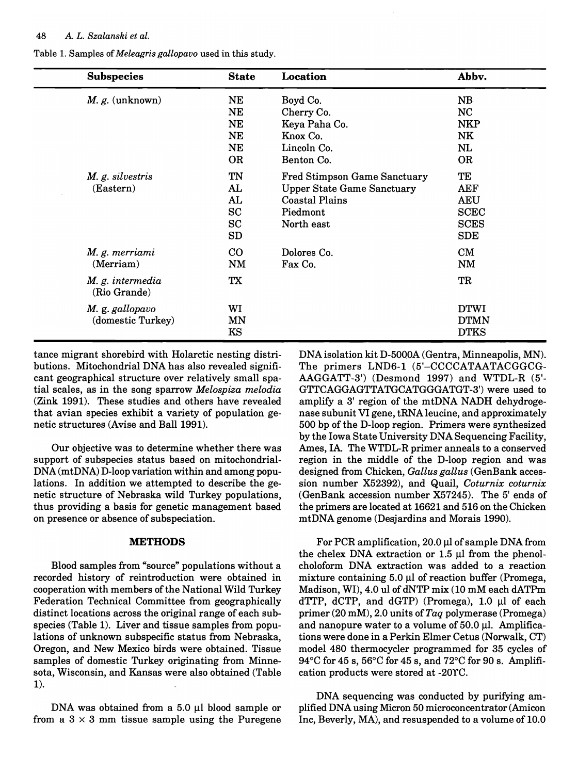| <b>Subspecies</b>                    | <b>State</b>                                      | Location                                                                                                                                  | Abbv.                                                                      |
|--------------------------------------|---------------------------------------------------|-------------------------------------------------------------------------------------------------------------------------------------------|----------------------------------------------------------------------------|
| $M. g.$ (unknown)                    | NE<br>NE<br><b>NE</b><br><b>NE</b><br>NE          | Boyd Co.<br>Cherry Co.<br>Keya Paha Co.<br>Knox Co.<br>Lincoln Co.                                                                        | NB<br><b>NC</b><br><b>NKP</b><br>NK<br>NL                                  |
| M. g. silvestris<br>(Eastern)        | OR.<br>TN<br>AL<br>AL.<br>SC<br>$_{\rm SC}$<br>SD | Benton Co.<br><b>Fred Stimpson Game Sanctuary</b><br><b>Upper State Game Sanctuary</b><br><b>Coastal Plains</b><br>Piedmont<br>North east | OR.<br>TE<br>AEF<br><b>AEU</b><br><b>SCEC</b><br><b>SCES</b><br><b>SDE</b> |
| M. g. merriami<br>(Merriam)          | $\rm CO$<br>NM                                    | Dolores Co.<br>Fax Co.                                                                                                                    | CM<br><b>NM</b>                                                            |
| M. g. intermedia<br>(Rio Grande)     | TX                                                |                                                                                                                                           | TR                                                                         |
| M. g. gallopavo<br>(domestic Turkey) | WI<br><b>MN</b><br>KS                             |                                                                                                                                           | <b>DTWI</b><br><b>DTMN</b><br><b>DTKS</b>                                  |

Table 1. Samples of *Meleagris gallopavo* used in this study.

tance migrant shorebird with Holarctic nesting distributions. Mitochondrial DNA has also revealed significant geographical structure over relatively small spatial scales, as in the song sparrow *Melospiza melodia*  (Zink 1991). These studies and others have revealed that avian species exhibit a variety of population genetic structures (Avise and Ball 1991).

Our objective was to determine whether there was support of subspecies status based on mitochondrial-DNA (mtDNA) D-Ioop variation within and among populations. In addition we attempted to describe the genetic structure of Nebraska wild Turkey populations, thus providing a basis for genetic management based on presence or absence of subspeciation.

#### **METHODS**

Blood samples from "source" populations without a recorded history of reintroduction were obtained in cooperation with members of the National Wild Turkey Federation Technical Committee from geographically distinct locations across the original range of each subspecies (Table 1). Liver and tissue samples from populations of unknown subspecific status from Nebraska, Oregon, and New Mexico birds were obtained. Tissue samples of domestic Turkey originating from Minnesota, Wisconsin, and Kansas were also obtained (Table 1).

DNA was obtained from a  $5.0 \mu l$  blood sample or from a  $3 \times 3$  mm tissue sample using the Puregene DNA isolation kit D-5000A (Gentra, Minneapolis, MN). The primers LND6-1 (5'-CCCCATAATACGGCG-AAGGATT-3') (Desmond 1997) and WTDL-R (5'- GTTCAGGAGTTATGCATGGGATGT-3') were used to amplify a 3' region of the mtDNA NADH dehydrogenase subunit VI gene, tRNA leucine, and approximately 500 bp of the D-Ioop region. Primers were synthesized by the Iowa State University DNA Sequencing Facility, Ames, IA. The WTDL-R primer anneals to a conserved region in the middle of the D-Ioop region and was designed from Chicken, *Gallus gallus* (GenBank accession number X52392), and Quail, *Coturnix coturnix*  (GenBank accession number X57245). The 5' ends of the primers are located at 16621 and 516 on the Chicken mtDNA genome (Desjardins and Morais 1990).

For PCR amplification,  $20.0 \mu$ l of sample DNA from the chelex DNA extraction or  $1.5 \mu$  from the phenolcholoform DNA extraction was added to a reaction mixture containing  $5.0 \mu l$  of reaction buffer (Promega, Madison, WI), 4.0 ul of dNTP mix (10 mM each dATPm  $d$ TTP,  $d$ CTP, and  $d$ GTP) (Promega), 1.0  $\mu$ l of each primer (20 mM), 2.0 units *ofTaq* polymerase (Promega) and nanopure water to a volume of  $50.0 \mu l$ . Amplifications were done in a Perkin Elmer Cetus (Norwalk, CT) model 480 thermocycler programmed for 35 cycles of  $94^{\circ}$ C for  $45$  s,  $56^{\circ}$ C for  $45$  s, and  $72^{\circ}$ C for  $90$  s. Amplification products were stored at -20YC.

DNA sequencing was conducted by purifying amplified DNA using Micron 50 microconcentrator (Amicon Inc, Beverly, MA), and resuspended to a volume of 10.0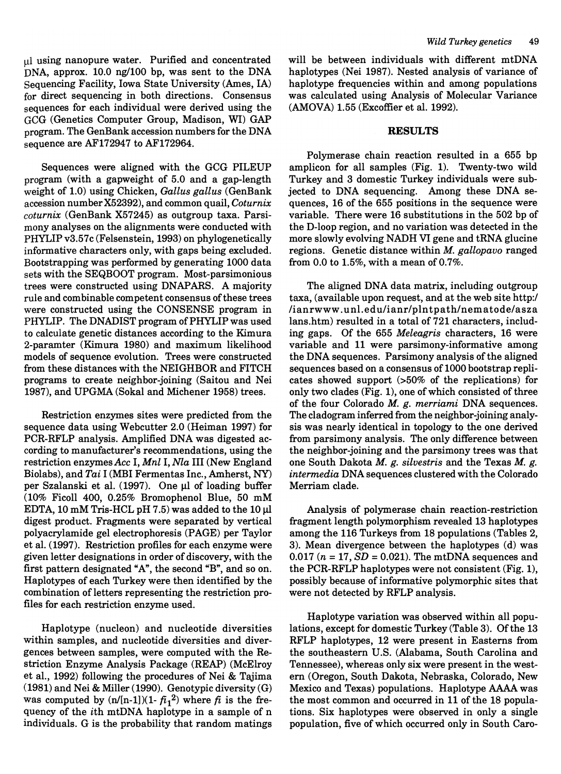$\mu$ l using nanopure water. Purified and concentrated DNA, approx. 10.0 ng/100 bp, was sent to the DNA Sequencing Facility, Iowa State University (Ames, IA) for direct sequencing in both directions. Consensus sequences for each individual were derived using the GCG (Genetics Computer Group, Madison, WI) GAP program. The GenBank accession numbers for the DNA sequence are  $AF172947$  to  $AF172964$ .

Sequences were aligned with the GCG PILEUP program (with a gapweight of 5.0 and a gap-length weight of 1.0) using Chicken, *Gallus gallus* (GenBank accession number X52392), and common quail, *Coturnix coturnix* (GenBank X57245) as outgroup taxa. Parsimony analyses on the alignments were conducted with PHYLIP v3.57c (Felsenstein, 1993) on phylogenetically informative characters only, with gaps being excluded. Bootstrapping was performed by generating 1000 data sets with the SEQBOOT program. Most-parsimonious trees were constructed using DNAPARS. A majority rule and combinable competent consensus of these trees were constructed using the CONSENSE program in PHYLIP. The DNADIST program of PHYLIP was used to calculate genetic distances according to the Kimura 2-paramter (Kimura 1980) and maximum likelihood models of sequence evolution. Trees were constructed from these distances with the NEIGHBOR and FITCH programs to create neighbor-joining (Saitou and Nei 1987), and UPGMA (Sokal and Michener 1958) trees.

Restriction enzymes sites were predicted from the sequence data using Webcutter 2.0 (Heiman 1997) for PCR-RFLP analysis. Amplified DNA was digested according to manufacturer's recommendations, using the restriction enzymes *Ace* I, *Mnl I,Nla* III (New England Biolabs), and *Tai* I (MBI Fermentas Inc., Amherst, NY) per Szalanski et al.  $(1997)$ . One  $\mu$ l of loading buffer (10% Ficoll 400, 0.25% Bromophenol Blue, 50 mM EDTA, 10 mM Tris-HCL pH  $7.5$ ) was added to the 10  $\mu$ l digest product. Fragments were separated by vertical polyacrylamide gel electrophoresis (PAGE) per Taylor et al. (1997). Restriction profiles for each enzyme were given letter designations in order of discovery, with the first pattern designated "A", the second "B", and so on. Haplotypes of each Turkey were then identified by the combination of letters representing the restriction profiles for each restriction enzyme used.

Haplotype (nucleon) and nucleotide diversities within samples, and nucleotide diversities and divergences between samples, were computed with the Restriction Enzyme Analysis Package (REAP) (McElroy et al., 1992) following the procedures of Nei & Tajima (1981) and Nei & Miller (1990). Genotypic diversity (G) was computed by  $(n/[n-1])(1 - \tilde{r}_1^2)$  where  $\tilde{r}$  is the frequency of the ith mtDNA haplotype in a sample of n individuals. G is the probability that random matings

will be between individuals with different mtDNA haplotypes (Nei 1987). Nested analysis of variance of haplotype frequencies within and among populations was calculated using Analysis of Molecular Variance (AMOVA) 1.55 (Excoffier et al. 1992).

#### **RESULTS**

Polymerase chain reaction resulted in a 655 bp amplicon for all samples (Fig. 1). Twenty-two wild Turkey and 3 domestic Turkey individuals were subjected to DNA sequencing. Among these DNA sequences, 16 of the 655 positions in the sequence were variable. There were 16 substitutions in the 502 bp of the D-loop region, and no variation was detected in the more slowly evolving NADH VI gene and tRNA glucine regions. Genetic distance within *M. gallopavo* ranged from 0.0 to 1.5%, with a mean of 0.7%.

The aligned DNA data matrix, including outgroup taxa, (available upon request, and at the web site http:/ lianrwww.unl.edu/ianr/plntpath/nematode/asza lans.htm) resulted in a total of 721 characters, including gaps. Of the 655 *Meleagris* characters, 16 were variable and 11 were parsimony-informative among the DNA sequences. Parsimony analysis of the aligned sequences based on a consensus of 1000 bootstrap replicates showed support (>50% of the replications) for only two clades (Fig. 1), one of which consisted of three of the four Colorado *M. g. merriami* DNA sequences. The cladogram inferred from the neighbor-joining analysis was nearly identical in topology to the one derived from parsimony analysis. The only difference between the neighbor-joining and the parsimony trees was that one South Dakota *M. g. silvestris* and the Texas *M. g. intermedia* DNA sequences clustered with the Colorado Merriam clade.

Analysis of polymerase chain reaction-restriction fragment length polymorphism revealed 13 haplotypes among the 116 Turkeys from 18 populations (Tables 2, 3). Mean divergence between the haplotypes (d) was 0.017  $(n = 17, SD = 0.021)$ . The mtDNA sequences and the PCR-RFLP haplotypes were not consistent (Fig. 1), possibly because of informative polymorphic sites that were not detected by RFLP analysis.

Haplotype variation was observed within all populations, except for domestic Turkey (Table 3). Of the 13 RFLP haplotypes, 12 were present in Easterns from the southeastern U.S. (Alabama, South Carolina and Tennessee), whereas only six were present in the western (Oregon, South Dakota, Nebraska, Colorado, New Mexico and Texas) populations. Haplotype AAAA was the most common and occurred in 11 of the 18 populations. Six haplotypes were observed in only a single population, five of which occurred only in South Caro-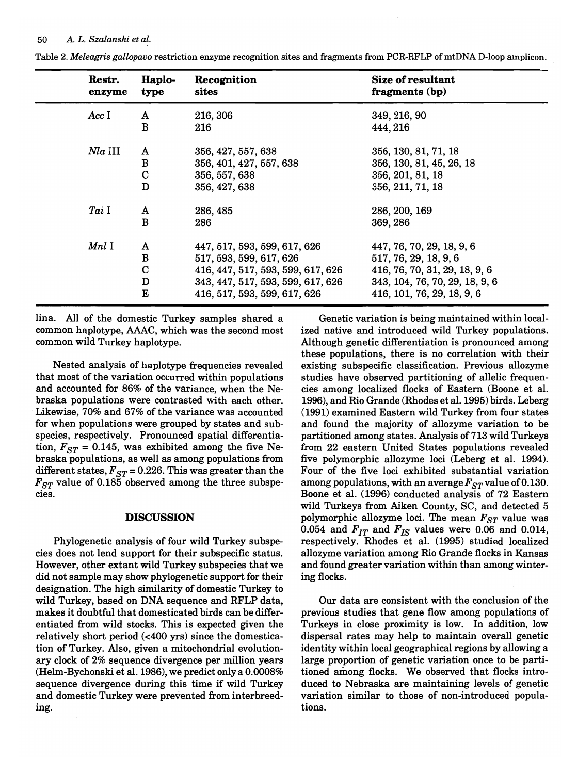| Restr.<br>enzyme | Haplo-<br>type | Recognition<br>sites              | Size of resultant<br>fragments (bp) |
|------------------|----------------|-----------------------------------|-------------------------------------|
| AccI             | A              | 216, 306                          | 349, 216, 90                        |
|                  | B              | 216                               | 444, 216                            |
| $Na$ III         | A              | 356, 427, 557, 638                | 356, 130, 81, 71, 18                |
|                  | B              | 356, 401, 427, 557, 638           | 356, 130, 81, 45, 26, 18            |
|                  | $\mathbf C$    | 356, 557, 638                     | 356, 201, 81, 18                    |
|                  | D              | 356, 427, 638                     | 356, 211, 71, 18                    |
| Tai I            | A              | 286, 485                          | 286, 200, 169                       |
|                  | $\bf{B}$       | 286                               | 369, 286                            |
| $Mnl$ $\rm I$    | A              | 447, 517, 593, 599, 617, 626      | 447, 76, 70, 29, 18, 9, 6           |
|                  | B              | 517, 593, 599, 617, 626           | 517, 76, 29, 18, 9, 6               |
|                  | $\mathbf C$    | 416, 447, 517, 593, 599, 617, 626 | 416, 76, 70, 31, 29, 18, 9, 6       |
|                  | D              | 343, 447, 517, 593, 599, 617, 626 | 343, 104, 76, 70, 29, 18, 9, 6      |
|                  | E              | 416, 517, 593, 599, 617, 626      | 416, 101, 76, 29, 18, 9, 6          |

Table 2. *Meleagris gallopavo* restriction enzyme recognition sites and fragments from PCR-RFLP of mtDNA D-loop amplicon.

lina. All of the domestic Turkey samples shared a common haplotype, AAAC, which was the second most common wild Turkey haplotype.

Nested analysis of haplotype frequencies revealed that most of the variation occurred within populations and accounted for 86% of the variance, when the Nebraska populations were contrasted with each other. Likewise, 70% and 67% of the variance was accounted for when populations were grouped by states and subspecies, respectively. Pronounced spatial differentiation,  $F_{ST}$  = 0.145, was exhibited among the five Nebraska populations, as well as among populations from different states,  $F_{ST}$  = 0.226. This was greater than the  $F_{ST}$  value of 0.185 observed among the three subspecies.

#### DISCUSSION

Phylogenetic analysis of four wild Turkey subspecies does not lend support for their subspecific status. However, other extant wild Turkey subspecies that we did not sample may show phylogenetic support for their designation. The high similarity of domestic Turkey to wild Turkey, based on DNA sequence and RFLP data, makes it doubtful that domesticated birds can be differentiated from wild stocks. This is expected given the relatively short period  $\left($  <400 yrs) since the domestication of Turkey. Also, given a mitochondrial evolutionary clock of 2% sequence divergence per million years (Helm-Bychonski et al. 1986), we predict only a 0.0008% sequence divergence during this time if wild Turkey and domestic Turkey were prevented from interbreeding.

Genetic variation is being maintained within localized native and introduced wild Turkey populations. Although genetic differentiation is pronounced among these populations, there is no correlation with their existing subspecific classification. Previous allozyme studies have observed partitioning of allelic frequencies among localized flocks of Eastern (Boone et al. 1996), and Rio Grande (Rhodes et al. 1995) birds. Leberg (1991) examined Eastern wild Turkey from four states and found the majority of allozyme variation to be partitioned among states. Analysis of 713 wild Turkeys from 22 eastern United States populations revealed five polymorphic allozyme loci (Leberg et al. 1994). Four of the five loci exhibited substantial variation among populations, with an average  $F_{ST}$  value of 0.130. Boone et al. (1996) conducted analysis of 72 Eastern wild Turkeys from Aiken County, SC, and detected 5 polymorphic allozyme loci. The mean  $F_{ST}$  value was 0.054 and  $F_{IT}$  and  $F_{IS}$  values were 0.06 and 0.014, respectively. Rhodes et al. (1995) studied localized allozyme variation among Rio Grande flocks in Kansas and found greater variation within than among wintering flocks.

Our data are consistent with the conclusion of the previous studies that gene flow among populations of Turkeys in close proximity is low. In addition, low dispersal rates may help to maintain overall genetic identity within local geographical regions by allowing a large proportion of genetic variation once to be partitioned among flocks. We observed that flocks introduced to Nebraska are maintaining levels of genetic variation similar to those of non-introduced populations.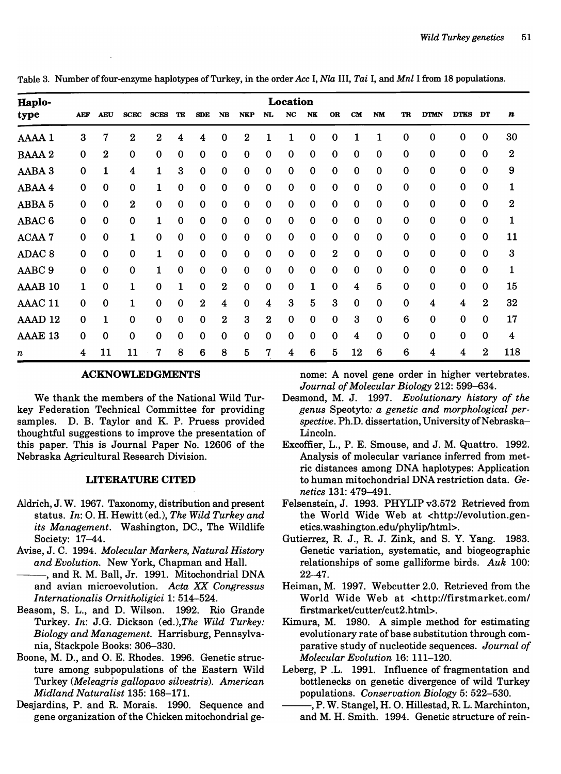Table 3. Number offour-enzyme haplotypes of Turkey, in the order *Ace* I, *Nla* III, *Tai* I, *andMnl* I from 18 populations.

| Haplo-            |             | Location   |                  |             |              |                  |                  |                  |                  |                         |             |                  |             |             |             |             |             |             |              |
|-------------------|-------------|------------|------------------|-------------|--------------|------------------|------------------|------------------|------------------|-------------------------|-------------|------------------|-------------|-------------|-------------|-------------|-------------|-------------|--------------|
| type              | <b>AEF</b>  | <b>AEU</b> | <b>SCEC</b>      | <b>SCES</b> | TE           | <b>SDE</b>       | NB               | <b>NKP</b>       | NL               | <b>NC</b>               | NK          | <b>OR</b>        | <b>CM</b>   | <b>NM</b>   | <b>TR</b>   | <b>DTMN</b> | <b>DTKS</b> | DT          | n            |
| AAAA 1            | 3           | 7          | $\boldsymbol{2}$ | $\bf{2}$    | 4            | 4                | $\bf{0}$         | $\boldsymbol{2}$ |                  | 1                       | $\bf{0}$    | 0                |             |             | 0           | 0           | 0           | 0           | 30           |
| <b>BAAA2</b>      | 0           | $\bf{2}$   | $\bf{0}$         | $\mathbf 0$ | $\bf{0}$     | $\bf{0}$         | $\bf{0}$         | $\mathbf 0$      | 0                | $\mathbf 0$             | $\bf{0}$    | $\mathbf 0$      | $\bf{0}$    | 0           | 0           | $\bf{0}$    | $\bf{0}$    | 0           | $\bf{2}$     |
| AABA 3            | $\mathbf 0$ | 1          | 4                | 1           | 3            | $\mathbf 0$      | $\mathbf 0$      | $\mathbf 0$      | $\mathbf 0$      | $\bf{0}$                | $\mathbf 0$ | $\mathbf 0$      | $\mathbf 0$ | $\mathbf 0$ | 0           | $\bf{0}$    | $\mathbf 0$ | $\mathbf 0$ | 9            |
| ABAA 4            | $\bf{0}$    | 0          | 0                |             | $\bf{0}$     | $\mathbf 0$      | $\bf{0}$         | $\mathbf 0$      | 0                | $\mathbf 0$             | $\bf{0}$    | $\mathbf 0$      | $\mathbf 0$ | 0           | 0           | 0           | $\bf{0}$    | 0           | $\mathbf{1}$ |
| ABBA 5            | $\mathbf 0$ | 0          | $\bf{2}$         | $\Omega$    | $\mathbf 0$  | $\bf{0}$         | $\bf{0}$         | $\mathbf 0$      | $\mathbf 0$      | $\mathbf 0$             | $\bf{0}$    | $\bf{0}$         | $\mathbf 0$ | 0           | $\mathbf 0$ | 0           | $\mathbf 0$ | 0           | $\mathbf{2}$ |
| ABAC <sub>6</sub> | $\mathbf 0$ | 0          | 0                | 1           | 0            | $\bf{0}$         | $\bf{0}$         | $\bf{0}$         | 0                | $\bf{0}$                | $\bf{0}$    | $\bf{0}$         | $\mathbf 0$ | $\bf{0}$    | 0           | $\bf{0}$    | 0           | $\bf{0}$    | 1            |
| ACAA 7            | $\Omega$    | 0          | 1                | $\Omega$    | $\mathbf 0$  | $\mathbf 0$      | $\mathbf 0$      | $\mathbf 0$      | $\mathbf 0$      | $\bf{0}$                | $\bf{0}$    | $\mathbf 0$      | $\mathbf 0$ | 0           | 0           | 0           | $\Omega$    | $\bf{0}$    | 11           |
| ADAC <sub>8</sub> | $\Omega$    | 0          | $\mathbf 0$      |             | $\mathbf 0$  | $\mathbf 0$      | $\mathbf 0$      | $\Omega$         | $\mathbf 0$      | $\mathbf 0$             | $\mathbf 0$ | $\boldsymbol{2}$ | $\bf{0}$    | 0           | 0           | 0           | $\mathbf 0$ | 0           | 3            |
| AABC <sub>9</sub> | $\mathbf 0$ | 0          | 0                |             | 0            | $\bf{0}$         | $\mathbf 0$      | $\mathbf 0$      | 0                | $\mathbf 0$             | $\bf{0}$    | $\bf{0}$         | $\mathbf 0$ | 0           | 0           | $\mathbf 0$ | 0           | 0           | 1            |
| AAAB 10           | 1           | 0          |                  | $\Omega$    | $\mathbf{1}$ | $\bf{0}$         | $\mathbf 2$      | $\bf{0}$         | 0                | $\bf{0}$                | 1           | $\mathbf 0$      | 4           | 5           | 0           | $\bf{0}$    | 0           | 0           | 15           |
| AAAC 11           | $\Omega$    | 0          |                  | $\Omega$    | $\mathbf 0$  | $\boldsymbol{2}$ | $\boldsymbol{4}$ | $\mathbf 0$      | 4                | 3                       | 5           | 3                | $\mathbf 0$ | 0           | 0           | 4           | 4           | $\bf{2}$    | 32           |
| AAAD 12           | $\Omega$    | 1          | $\Omega$         | $\Omega$    | $\mathbf{0}$ | $\Omega$         | $\boldsymbol{2}$ | 3                | $\boldsymbol{2}$ | $\mathbf 0$             | $\bf{0}$    | 0                | 3           | $\mathbf 0$ | 6           | $\mathbf 0$ | 0           | $\Omega$    | 17           |
| AAAE 13           | $\Omega$    | 0          | $\mathbf 0$      | $\Omega$    | $\bf{0}$     | $\bf{0}$         | 0                | $\mathbf 0$      | $\Omega$         | $\bf{0}$                | $\mathbf 0$ | $\mathbf 0$      | 4           | 0           | 0           | 0           | $\mathbf 0$ | $\mathbf 0$ | 4            |
| $\boldsymbol{n}$  | 4           | 11         | 11               | 7           | 8            | 6                | 8                | $\overline{5}$   | 7                | $\overline{\mathbf{4}}$ | 6           | 5                | 12          | 6           | 6           | 4           | 4           | $\bf{2}$    | 118          |

### ACKNOWLEDGMENTS

We thank the members of the National Wild Turkey Federation Technical Committee for providing samples. D. B. Taylor and K. P. Pruess provided thoughtful suggestions to improve the presentation of this paper. This is Journal Paper No. 12606 of the Nebraska Agricultural Research Division.

# LITERATURE CITED

- Aldrich, J. W. 1967. Taxonomy, distribution and present status. *In:* O. H. Hewitt (ed.), *The Wild Turkey and its Management.* Washington, DC., The Wildlife Society: 17-44.
- Avise, J. C. 1994. *Molecular Markers, Natural History and Evolution.* New York, Chapman and Hall.
- --, and R. M. Ball, Jr. 1991. Mitochondrial DNA and avian microevolution. Acta XX Congressus *Internationalis Ornitholigici* 1: 514-524.
- Beasom, S. L., and D. Wilson. 1992. Rio Grande Turkey. *In:* J.G. Dickson *(ed.),The Wild Turkey: Biology and Management.* Harrisburg, Pennsylvania, Stackpole Books: 306-330.
- Boone, M. D., and O. E. Rhodes. 1996. Genetic structure among subpopulations of the Eastern Wild Turkey *(Meleagris gallopavo silvestris). American Midland Naturalist* 135: 168-171.
- Desjardins, P. and R. Morais. 1990. Sequence and gene organization of the Chicken mitochondrial ge-

nome: A novel gene order in higher vertebrates. *Journal of Molecular Biology* 212: 599-634.

- Desmond, M. J. 1997. *Evolutionary history of the genus* Speotyto: *a genetic and morphological per*spective. Ph.D. dissertation, University of Nebraska-Lincoln.
- Excoffier, L., P. E. Smouse, and J. M. Quattro. 1992. Analysis of molecular variance inferred from metric distances among DNA haplotypes: Application to human mitochondrial DNA restriction data. Ge*netics* 131: 479-491.
- Felsenstein, J. 1993. PHYLIP v3.572 Retrieved from the World Wide Web at <http://evolution.genetics.washington.edulphylip/html>.
- Gutierrez, R. J., R. J. Zink, and S. Y. Yang. 1983. Genetic variation, systematic, and biogeographic relationships of some galliforme birds. *Auk 100:*  22-47.
- Heiman, M. 1997. Webcutter 2.0. Retrieved from the World Wide Web at <http://firstmarket.com/ firstmarket/cutter/cut2.html>.
- Kimura, M. 1980. A simple method for estimating evolutionary rate of base substitution through comparative study of nucleotide sequences. *Journal of Molecular Evolution* 16: 111-120.
- Leberg, P .L. 1991. Influence of fragmentation and bottlenecks on genetic divergence of wild Turkey populations. *Conservation Biology* 5: 522-530.
	- , P. W. Stangel, H. O. Hillestad, R. L. Marchinton, and M. H. Smith. 1994. Genetic structure of rein-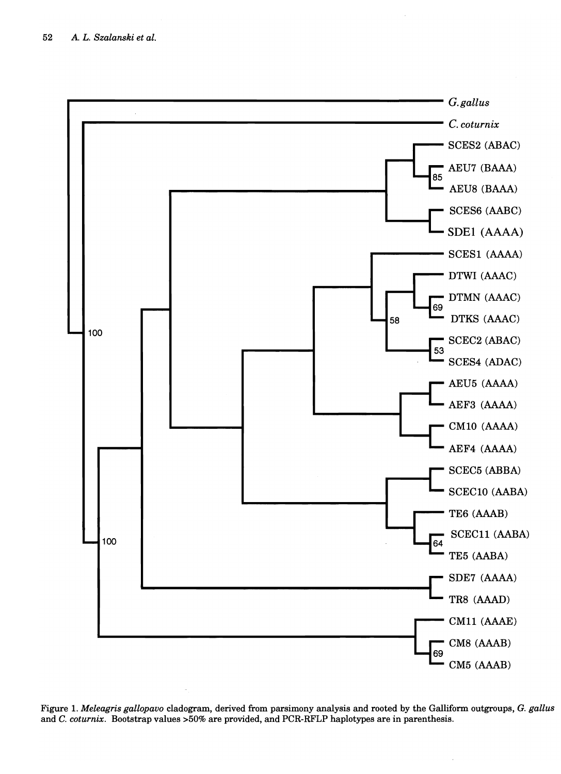

Figure 1. *Meleagris gallopavo* cladogram, derived from parsimony analysis and rooted by the Galliform outgroups, G. *gallus*  and C. *coturnix.* Bootstrap values >50% are provided, and PCR-RFLP haplotypes are in parenthesis.